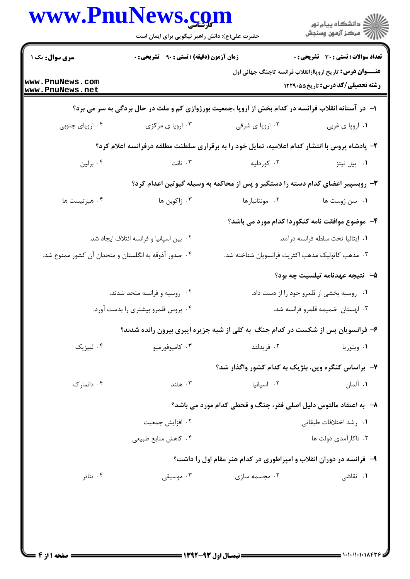|                                    | www.PnuNews.com<br>حضرت علی(ع): دانش راهبر نیکویی برای ایمان است |                                                                                                     | الاد دانشگاه پيام نور<br>الا مرکز آزمون وسنجش                                                               |  |
|------------------------------------|------------------------------------------------------------------|-----------------------------------------------------------------------------------------------------|-------------------------------------------------------------------------------------------------------------|--|
| <b>سری سوال :</b> یک ۱             | <b>زمان آزمون (دقیقه) : تستی : ۹۰ تشریحی : 0</b>                 |                                                                                                     | <b>تعداد سوالات : تستي : 30 - تشريحي : 0</b>                                                                |  |
| www.PnuNews.com<br>www.PnuNews.net |                                                                  |                                                                                                     | <b>عنــــوان درس:</b> تاریخ اروپاازانقلاب فرانسه تاجنگ جهانی اول<br><b>رشته تحصیلی/کد درس:</b> تاریخ۵۵×۱۲۲۹ |  |
|                                    |                                                                  | ۱– در آستانه انقلاب فرانسه در کدام بخش از اروپا ،جمعیت بورژوازی کم و ملت در حال بردگی به سر می برد؟ |                                                                                                             |  |
| ۰۴ اروپای جنوبی                    | ۰۳ اروپا ی مرکزی                                                 | ۰۲ اروپا ی شرقی                                                                                     | ۰۱ اروپا ی غربی                                                                                             |  |
|                                    |                                                                  | ۲- پادشاه پروس با انتشار کدام اعلامیه، تمایل خود را به برقراری سلطنت مطلقه درفرانسه اعلام کرد؟      |                                                                                                             |  |
| ۰۴ برلين                           | ۰۳ نانت                                                          | ۰۲ کوردلیه                                                                                          | ۰۱ پیل نیتز                                                                                                 |  |
|                                    |                                                                  | ۳- روبسپیر اعضای کدام دسته را دستگیر و پس از محاکمه به وسیله گیوتین اعدام کرد؟                      |                                                                                                             |  |
| ۰۴ هبرتيست ها                      | ۰۳ ژاکوبن ها                                                     | ۰۲ مونتانیارها                                                                                      | ٠١ سن ژوست ها                                                                                               |  |
|                                    |                                                                  | ۴- موضوع موافقت نامه کنکوردا کدام مورد می باشد؟                                                     |                                                                                                             |  |
|                                    | ٠٢ بين اسپانيا و فرانسه ائتلاف ايجاد شد.                         |                                                                                                     | ٠١. ايتاليا تحت سلطه فرانسه درآمد.                                                                          |  |
|                                    | ۰۴ صدور آذوقه به انگلستان و متحدان آن کشور ممنوع شد.             | ۰۳ مذهب کاتولیک مذهب اکثریت فرانسویان شناخته شد.                                                    |                                                                                                             |  |
|                                    |                                                                  |                                                                                                     | <b>۵</b> – نتيجه عهدنامه تيلسيت چه بود؟                                                                     |  |
|                                    | ۰۲ روسیه و فرانسه متحد شدند.                                     | ۰۱ روسیه بخشی از قلمرو خود را از دست داد.                                                           |                                                                                                             |  |
|                                    | ۰۴ پروس قلمرو بیشتری را بدست آورد.                               | ۰۳ لهستان  ضمیمه قلمرو فرانسه شد.                                                                   |                                                                                                             |  |
|                                    |                                                                  | ۶- فرانسویان پس از شکست در کدام جنگ به کلی از شبه جزیره ایبری بیرون رانده شدند؟                     |                                                                                                             |  |
| ۰۴ لیپزیک                          | ۰۳ کامپوفورمیو                                                   | ۰۲ فريدلند                                                                                          | ۰۱ ویتوریا                                                                                                  |  |
|                                    |                                                                  | ۷- براساس کنگره وین، بلژیک به کدام کشور واگذار شد؟                                                  |                                                                                                             |  |
| ۰۴ دانمارک                         | ۰۳ هلند                                                          | ۰۲ اسیانیا                                                                                          | ۰۱ آلمان                                                                                                    |  |
|                                    |                                                                  | ۸– به اعتقاد مالتوس دلیل اصلی فقر، جنگ و قحطی کدام مورد می باشد؟                                    |                                                                                                             |  |
|                                    | ۰۲ افزایش جمعیت                                                  | ۰۱ , شد اختلافات طبقاتی                                                                             |                                                                                                             |  |
|                                    | ۰۴ كاهش منابع طبيعي                                              |                                                                                                     | ۰۳ ناکارآمدی دولت ها                                                                                        |  |
|                                    |                                                                  | ۹- ً فرانسه در دوران انقلاب و امپراطوری در کدام هنر مقام اول را داشت؟                               |                                                                                                             |  |
| ۰۴ تئاتر                           | ۰۳ موسیقی                                                        | ۰۲ مجسمه سازی                                                                                       | ۰۱ نقاشی <sub>،</sub>                                                                                       |  |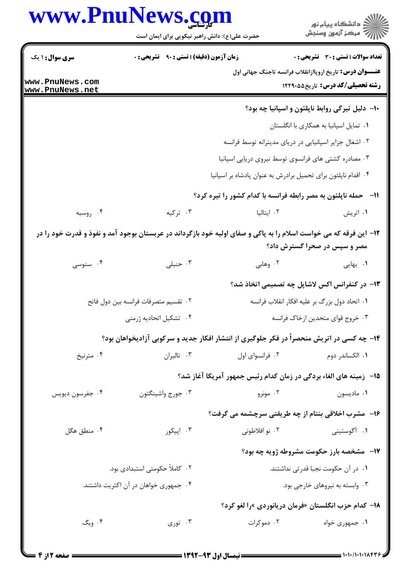|                                    | www.PnuNews.com                                                                                                   |                                                                       | ڪ دانشڪاه پيام نور<br>پ <sup>ر</sup> مرڪز آزمون وسنڊش                                                      |
|------------------------------------|-------------------------------------------------------------------------------------------------------------------|-----------------------------------------------------------------------|------------------------------------------------------------------------------------------------------------|
|                                    | حضرت علی(ع): دانش راهبر نیکویی برای ایمان است                                                                     |                                                                       |                                                                                                            |
| سری سوال: ۱ یک                     | <b>زمان آزمون (دقیقه) : تستی : ۹۰ تشریحی : 0</b>                                                                  |                                                                       | <b>تعداد سوالات : تستی : 30 ٪ تشریحی : 0</b>                                                               |
| www.PnuNews.com<br>www.PnuNews.net |                                                                                                                   |                                                                       | <b>عنـــوان درس:</b> تاریخ اروپاازانقلاب فرانسه تاجنگ جهانی اول<br><b>رشته تحصیلی/کد درس:</b> تاریخ55,1۲۲۹ |
|                                    |                                                                                                                   |                                                                       | ۱۰- دلیل تیرگی روابط ناپلئون و اسپانیا چه بود؟                                                             |
|                                    |                                                                                                                   |                                                                       | ۰۱ تمایل اسپانیا به همکاری با انگلستان                                                                     |
|                                    |                                                                                                                   | ۰۲ اشغال جزایر اسپانیایی در دریای مدیترانه توسط فرانسه                |                                                                                                            |
|                                    |                                                                                                                   | ۰۳ مصادره کشتی های فرانسوی توسط نیروی دریایی اسپانیا                  |                                                                                                            |
|                                    |                                                                                                                   | ۰۴ اقدام ناپلئون برای تحمیل برادرش به عنوان پادشاه بر اسپانیا         |                                                                                                            |
|                                    |                                                                                                                   | <b>۱۱- حمله ناپلئون به مصر رابطه فرانسه با کدام کشور را تیره کرد؟</b> |                                                                                                            |
| ۰۴ روسیه                           | ۰۳ ترکیه                                                                                                          | ۰۲ ایتالیا                                                            | ۰۱ اتریش                                                                                                   |
|                                    | ۱۲– این فرقه که می خواست اسلام را به پاکی و صفای اولیه خود بازگرداند در عربستان بوجود آمد و نفوذ و قدرت خود را در |                                                                       | مصر و سپس در صحرا گسترش داد؟                                                                               |
| ۰۴ سنوسی                           | ۰۳ حنبلی                                                                                                          | ۰۲ وهابی                                                              | ۰۱ بهایی                                                                                                   |
|                                    |                                                                                                                   |                                                                       | ۱۳– در کنفرانس اکس لاشاپل چه تصمیمی اتخاذ شد؟                                                              |
|                                    | ٠٢ تقسيم متصرفات فرانسه بين دول فاتح                                                                              |                                                                       | ۰۱ اتحاد دول بزرگ بر علیه افکار انقلاب فرانسه                                                              |
| ۰۴ تشکیل اتحادیه ژرمنی             |                                                                                                                   |                                                                       | ۰۳ خروج قواي متحدين ازخاک فرانسه                                                                           |
|                                    | ۱۴- چه کسی در اتریش منحصراً در فکر جلوگیری از انتشار افکار جدید و سرکوبی آزادیخواهان بود؟                         |                                                                       |                                                                                                            |
| ۰۴ مترنيخ                          | ۰۳ تالیران                                                                                                        | ۰۲ فرانسوای اول                                                       | ۰۱ الکساندر دوم                                                                                            |
|                                    |                                                                                                                   | 1۵–۔زمینه های الغاء بردگی در زمان کدام رئیس جمهور آمریکا آغاز شد؟     |                                                                                                            |
| ۰۴ جفرسون ديويس                    | ۰۳ جورج واشينگتون                                                                                                 | ۰۲ مونرو                                                              | ٠١ ماديسون                                                                                                 |
|                                    |                                                                                                                   | ۱۶- مشرب اخلاقی بنتام از چه طریقتی سرچشمه می گرفت؟                    |                                                                                                            |
| ۰۴ منطق هگل                        | ۰۳ اپیکور                                                                                                         | ۰۲ نو افلاطونی                                                        | ۰۱ آگوستینی                                                                                                |
|                                    |                                                                                                                   |                                                                       | <b>۱۷</b> - مشخصه بارز حکومت مشروطه ژویه چه بود؟                                                           |
| ۰۲ کاملاً حکومتی استبدادی بود.     |                                                                                                                   |                                                                       | ٠١ در آن حكومت نجبا قدرتي نداشتند.                                                                         |
|                                    | ۰۴ جمهوری خواهان در آن اکثریت داشتند.                                                                             |                                                                       | ۰۳ وابسته به نیروهای خارجی بود.                                                                            |
|                                    |                                                                                                                   | 18– كدام حزب انگلستان «فرمان دريانوردي »را لغو كرد؟                   |                                                                                                            |
| ۰۴ ویگ                             | ۰۳ توری $\cdot$                                                                                                   | ۰۲ دموکرات                                                            | ۰۱ جمهوری خواه                                                                                             |
|                                    |                                                                                                                   |                                                                       |                                                                                                            |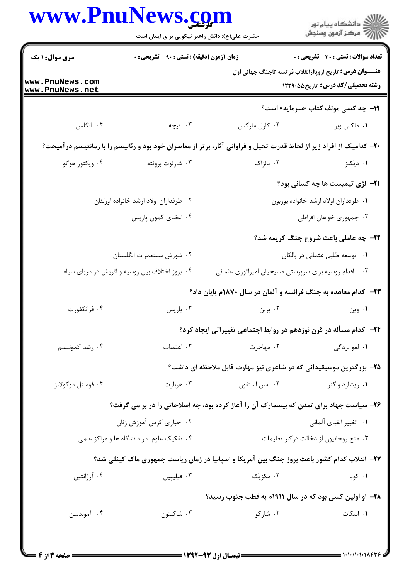|                                    | حضرت علی(ع): دانش راهبر نیکویی برای ایمان است    |                                                                                                                     | ر<br>( دانشگاه پيام نور<br>(7 مرکز آزمون وسنجش                                                            |
|------------------------------------|--------------------------------------------------|---------------------------------------------------------------------------------------------------------------------|-----------------------------------------------------------------------------------------------------------|
| <b>سری سوال : ۱ یک</b>             | <b>زمان آزمون (دقیقه) : تستی : ۹۰ تشریحی : 0</b> |                                                                                                                     | <b>تعداد سوالات : تستی : 30 ٪ تشریحی : 0</b>                                                              |
| www.PnuNews.com<br>www.PnuNews.net |                                                  |                                                                                                                     | <b>عنــــوان درس:</b> تاریخ اروپاازانقلاب فرانسه تاجنگ جهانی اول<br><b>رشته تحصیلی/کد درس:</b> تاریخ55129 |
|                                    |                                                  |                                                                                                                     | 19- چه کسی مولف کتاب «سرمایه» است؟                                                                        |
| ۰۴ انگلس                           | ۰۳ نیچه                                          | ۰۲ کارل مارکس                                                                                                       | ۰۱ ماکس وبر                                                                                               |
|                                    |                                                  | ۲۰– کدامیک از افراد زیر از لحاظ قدرت تخیل و فراوانی آثار، برتر از معاصران خود بود و رئالیسم را با رمانتیسم درآمیخت؟ |                                                                                                           |
| ۰۴ ویکتور هوگو                     | ۰۳ شارلوت برونته                                 | ۰۲ بالزاک                                                                                                           | ۰۱ دیکنز                                                                                                  |
|                                    |                                                  |                                                                                                                     | <b>٢١-</b> لژی تیمیست ها چه کسانی بود؟                                                                    |
|                                    | ۰۲ طرفداران اولاد ارشد خانواده اورلئان           | ٠١ طرفداران اولاد ارشد خانواده بوربون                                                                               |                                                                                                           |
|                                    | ۰۴ اعضای کمون پاریس                              |                                                                                                                     | ۰۳ جمهوری خواهان افراطی                                                                                   |
|                                    |                                                  |                                                                                                                     | <b>۲۲- چه عاملی باعث شروع جنگ کریمه شد؟</b>                                                               |
|                                    | ۰۲ شورش مستعمرات انگلستان                        | ۰۱ توسعه طلبي عثماني در بالكان                                                                                      |                                                                                                           |
|                                    | ۰۴ بروز اختلاف بین روسیه و اتریش در دریای سیاه   | اقدام روسیه برای سرپرستی مسیحیان امپراتوری عثمانی                                                                   | $\cdot$ ۳                                                                                                 |
|                                    |                                                  | <b>۲۳</b> - کدام معاهده به جنگ فرانسه و آلمان در سال ۱۸۷۰م پایان داد؟                                               |                                                                                                           |
| ۰۴ فرانکفورت                       | ۰۳ پاریس                                         | ۰۲ برلن                                                                                                             | ۰۱ وین                                                                                                    |
|                                    |                                                  | <b>۲۴</b> - کدام مسأله در قرن نوزدهم در روابط اجتماعی تغییراتی ایجاد کرد؟                                           |                                                                                                           |
| ۰۴ رشد کمونیسم                     | ۰۳ اعتصاب                                        | ۰۲ مهاجرت                                                                                                           | ۰۱ لغو بردگی                                                                                              |
|                                    |                                                  | ۲۵– بزرگترین موسیقیدانی که در شاعری نیز مهارت قابل ملاحظه ای داشت؟                                                  |                                                                                                           |
| ۰۴ فوستل دوكولانژ                  | ۰۳ هربارت                                        | ۰۲ سن استفون                                                                                                        | ۰۱ ریشارد واگنر                                                                                           |
|                                    |                                                  | ۲۶- سیاست جهاد برای تمدن که بیسمارک آن را آغاز کرده بود، چه اصلاحاتی را در بر می گرفت؟                              |                                                                                                           |
|                                    | ۰۲ اجباری کردن آموزش زنان                        | ٠١ تغيير الفباي ألماني                                                                                              |                                                                                                           |
|                                    | ۰۴ تفکیک علوم در دانشگاه ها و مراکز علمی         |                                                                                                                     | ۰۳ منع روحانیون از دخالت درکار تعلیمات                                                                    |
|                                    |                                                  | <b>۲۷</b> – انقلاب کدام کشور باعث بروز جنگ بین آمریکا و اسپانیا در زمان ریاست جمهوری ماک کینلی شد؟                  |                                                                                                           |
| ۰۴ آرژانتین                        | ۰۳ فیلیپین                                       | ۰۲ مکزیک                                                                                                            | ۰۱ کوبا                                                                                                   |
|                                    |                                                  | ۲۸- او اولین کسی بود که در سال ۱۹۱۱م به قطب جنوب رسید؟                                                              |                                                                                                           |
| ۰۴ آموندسن                         | ۰۳ شاکلتون                                       | ۰۲ شارکو                                                                                                            | ۰۱ اسکات                                                                                                  |